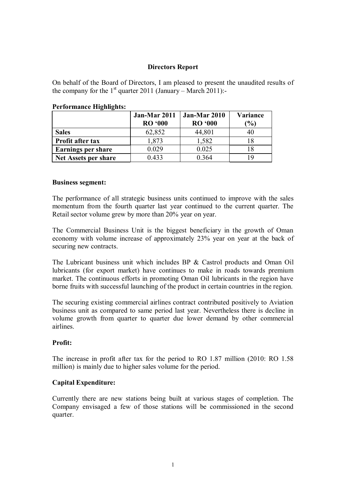# **Directors Report**

On behalf of the Board of Directors, I am pleased to present the unaudited results of the company for the  $1<sup>st</sup>$  quarter 2011 (January – March 2011):-

| - 8                       | Jan-Mar 2011<br><b>RO</b> '000 | Jan-Mar 2010<br><b>RO '000</b> | Variance<br>$\mathcal{O}(6)$ |
|---------------------------|--------------------------------|--------------------------------|------------------------------|
| <b>Sales</b>              | 62,852                         | 44,801                         |                              |
| Profit after tax          | 1,873                          | 1,582                          |                              |
| <b>Earnings per share</b> | 0.029                          | 0.025                          |                              |
| Net Assets per share      | 0.433                          | 0.364                          |                              |

#### **Performance Highlights:**

#### **Business segment:**

The performance of all strategic business units continued to improve with the sales momentum from the fourth quarter last year continued to the current quarter. The Retail sector volume grew by more than 20% year on year.

The Commercial Business Unit is the biggest beneficiary in the growth of Oman economy with volume increase of approximately 23% year on year at the back of securing new contracts.

The Lubricant business unit which includes BP & Castrol products and Oman Oil lubricants (for export market) have continues to make in roads towards premium market. The continuous efforts in promoting Oman Oil lubricants in the region have borne fruits with successful launching of the product in certain countries in the region.

The securing existing commercial airlines contract contributed positively to Aviation business unit as compared to same period last year. Nevertheless there is decline in volume growth from quarter to quarter due lower demand by other commercial airlines.

### **Profit:**

The increase in profit after tax for the period to RO 1.87 million (2010: RO 1.58 million) is mainly due to higher sales volume for the period.

### **Capital Expenditure:**

Currently there are new stations being built at various stages of completion. The Company envisaged a few of those stations will be commissioned in the second quarter.